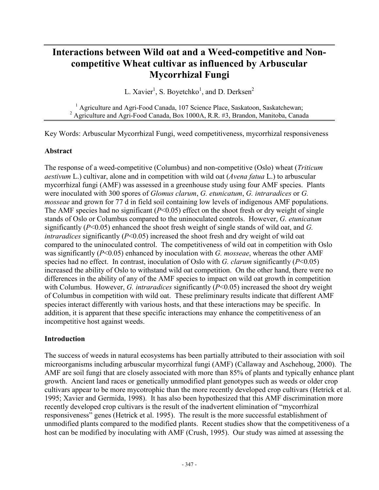# **Interactions between Wild oat and a Weed-competitive and Noncompetitive Wheat cultivar as influenced by Arbuscular Mycorrhizal Fungi**

L. Xavier<sup>1</sup>, S. Boyetchko<sup>1</sup>, and D. Derksen<sup>2</sup>

<sup>1</sup> Agriculture and Agri-Food Canada, 107 Science Place, Saskatoon, Saskatchewan; 2 Agriculture and Agri-Food Canada, Box 1000A, R.R. #3, Brandon, Manitoba, Canada

Key Words: Arbuscular Mycorrhizal Fungi, weed competitiveness, mycorrhizal responsiveness

#### **Abstract**

The response of a weed-competitive (Columbus) and non-competitive (Oslo) wheat (*Triticum aestivum* L.) cultivar, alone and in competition with wild oat (*Avena fatua* L.) to arbuscular mycorrhizal fungi (AMF) was assessed in a greenhouse study using four AMF species. Plants were inoculated with 300 spores of *Glomus clarum*, *G. etunicatum*, *G. intraradices* or *G. mosseae* and grown for 77 d in field soil containing low levels of indigenous AMF populations. The AMF species had no significant (*P*<0.05) effect on the shoot fresh or dry weight of single stands of Oslo or Columbus compared to the uninoculated controls. However, *G. etunicatum* significantly (*P*<0.05) enhanced the shoot fresh weight of single stands of wild oat, and *G. intraradices* significantly (*P*<0.05) increased the shoot fresh and dry weight of wild oat compared to the uninoculated control. The competitiveness of wild oat in competition with Oslo was significantly (*P*<0.05) enhanced by inoculation with *G. mosseae*, whereas the other AMF species had no effect. In contrast, inoculation of Oslo with *G. clarum* significantly (*P*<0.05) increased the ability of Oslo to withstand wild oat competition. On the other hand, there were no differences in the ability of any of the AMF species to impact on wild oat growth in competition with Columbus. However, *G. intraradices* significantly (*P*<0.05) increased the shoot dry weight of Columbus in competition with wild oat. These preliminary results indicate that different AMF species interact differently with various hosts, and that these interactions may be specific. In addition, it is apparent that these specific interactions may enhance the competitiveness of an incompetitive host against weeds.

#### **Introduction**

The success of weeds in natural ecosystems has been partially attributed to their association with soil microorganisms including arbuscular mycorrhizal fungi (AMF) (Callaway and Aschehoug, 2000). The AMF are soil fungi that are closely associated with more than 85% of plants and typically enhance plant growth. Ancient land races or genetically unmodified plant genotypes such as weeds or older crop cultivars appear to be more mycotrophic than the more recently developed crop cultivars (Hetrick et al. 1995; Xavier and Germida, 1998). It has also been hypothesized that this AMF discrimination more recently developed crop cultivars is the result of the inadvertent elimination of "mycorrhizal responsiveness" genes (Hetrick et al. 1995). The result is the more successful establishment of unmodified plants compared to the modified plants. Recent studies show that the competitiveness of a host can be modified by inoculating with AMF (Crush, 1995). Our study was aimed at assessing the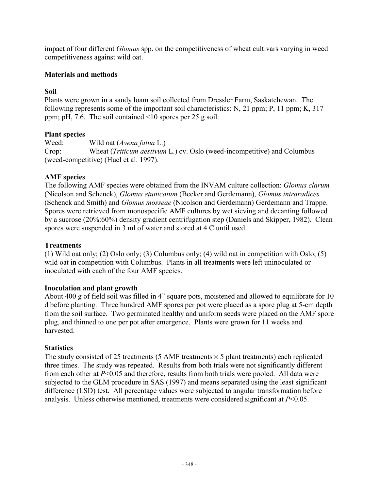impact of four different *Glomus* spp. on the competitiveness of wheat cultivars varying in weed competitiveness against wild oat.

## **Materials and methods**

## **Soil**

Plants were grown in a sandy loam soil collected from Dressler Farm, Saskatchewan. The following represents some of the important soil characteristics: N, 21 ppm; P, 11 ppm; K, 317 ppm; pH, 7.6. The soil contained <10 spores per 25 g soil.

## **Plant species**

Weed: Wild oat (*Avena fatua* L.) Crop: Wheat (*Triticum aestivum* L.) cv. Oslo (weed-incompetitive) and Columbus (weed-competitive) (Hucl et al. 1997).

## **AMF species**

The following AMF species were obtained from the INVAM culture collection: *Glomus clarum* (Nicolson and Schenck), *Glomus etunicatum* (Becker and Gerdemann), *Glomus intraradices* (Schenck and Smith) and *Glomus mosseae* (Nicolson and Gerdemann) Gerdemann and Trappe. Spores were retrieved from monospecific AMF cultures by wet sieving and decanting followed by a sucrose (20%:60%) density gradient centrifugation step (Daniels and Skipper, 1982). Clean spores were suspended in 3 ml of water and stored at 4 C until used.

## **Treatments**

(1) Wild oat only; (2) Oslo only; (3) Columbus only; (4) wild oat in competition with Oslo; (5) wild oat in competition with Columbus. Plants in all treatments were left uninoculated or inoculated with each of the four AMF species.

## **Inoculation and plant growth**

About 400 g of field soil was filled in 4" square pots, moistened and allowed to equilibrate for 10 d before planting. Three hundred AMF spores per pot were placed as a spore plug at 5-cm depth from the soil surface. Two germinated healthy and uniform seeds were placed on the AMF spore plug, and thinned to one per pot after emergence. Plants were grown for 11 weeks and harvested.

## **Statistics**

The study consisted of 25 treatments (5 AMF treatments  $\times$  5 plant treatments) each replicated three times. The study was repeated. Results from both trials were not significantly different from each other at *P*<0.05 and therefore, results from both trials were pooled. All data were subjected to the GLM procedure in SAS (1997) and means separated using the least significant difference (LSD) test. All percentage values were subjected to angular transformation before analysis. Unless otherwise mentioned, treatments were considered significant at *P*<0.05.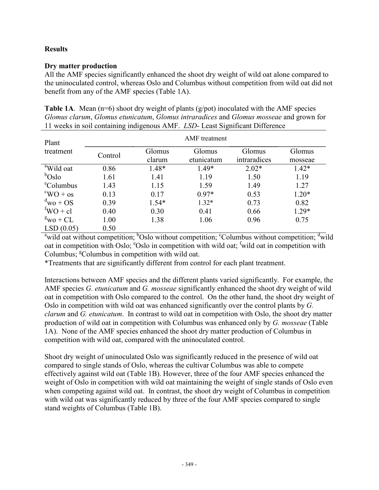### **Results**

#### **Dry matter production**

All the AMF species significantly enhanced the shoot dry weight of wild oat alone compared to the uninoculated control, whereas Oslo and Columbus without competition from wild oat did not benefit from any of the AMF species (Table 1A).

**Table 1A**. Mean (n=6) shoot dry weight of plants (g/pot) inoculated with the AMF species *Glomus clarum*, *Glomus etunicatum*, *Glomus intraradices* and *Glomus mosseae* and grown for 11 weeks in soil containing indigenous AMF. *LSD*- Least Significant Difference

| Plant                           | <b>AMF</b> treatment |         |            |              |         |  |  |
|---------------------------------|----------------------|---------|------------|--------------|---------|--|--|
| treatment                       | Control              | Glomus  | Glomus     | Glomus       | Glomus  |  |  |
|                                 |                      | clarum  | etunicatum | intraradices | mosseae |  |  |
| <sup>a</sup> Wild oat           | 0.86                 | 1.48*   | $1.49*$    | $2.02*$      | $1.42*$ |  |  |
| $b$ Oslo                        | 1.61                 | 1.41    | 1.19       | 1.50         | 1.19    |  |  |
| <sup>e</sup> Columbus           | 1.43                 | 1.15    | 1.59       | 1.49         | 1.27    |  |  |
| $\rm{^cWO}$ + os                | 0.13                 | 0.17    | $0.97*$    | 0.53         | $1.20*$ |  |  |
| $\mathrm{d}_{\mathrm{WO}}$ + OS | 0.39                 | $1.54*$ | $1.32*$    | 0.73         | 0.82    |  |  |
| $fWO + cl$                      | 0.40                 | 0.30    | 0.41       | 0.66         | $1.29*$ |  |  |
| $\mathrm{g}_{\mathrm{WO}}$ + CL | 1.00                 | 1.38    | 1.06       | 0.96         | 0.75    |  |  |
| LSD(0.05)                       | 0.50                 |         |            |              |         |  |  |

<sup>a</sup> wild oat without competition; <sup>b</sup>Oslo without competition; <sup>c</sup>Columbus without competition; <sup>d</sup>wild oat in competition with Oslo; <sup>e</sup>Oslo in competition with wild oat; <sup>f</sup>wild oat in competition with Columbus; <sup>g</sup>Columbus in competition with wild oat.

\*Treatments that are significantly different from control for each plant treatment.

Interactions between AMF species and the different plants varied significantly. For example, the AMF species *G. etunicatum* and *G. mosseae* significantly enhanced the shoot dry weight of wild oat in competition with Oslo compared to the control. On the other hand, the shoot dry weight of Oslo in competition with wild oat was enhanced significantly over the control plants by *G. clarum* and *G. etunicatum*. In contrast to wild oat in competition with Oslo, the shoot dry matter production of wild oat in competition with Columbus was enhanced only by *G. mosseae* (Table 1A). None of the AMF species enhanced the shoot dry matter production of Columbus in competition with wild oat, compared with the uninoculated control.

Shoot dry weight of uninoculated Oslo was significantly reduced in the presence of wild oat compared to single stands of Oslo, whereas the cultivar Columbus was able to compete effectively against wild oat (Table 1B). However, three of the four AMF species enhanced the weight of Oslo in competition with wild oat maintaining the weight of single stands of Oslo even when competing against wild oat. In contrast, the shoot dry weight of Columbus in competition with wild oat was significantly reduced by three of the four AMF species compared to single stand weights of Columbus (Table 1B).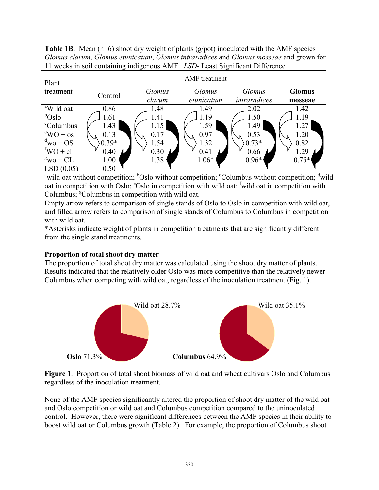**Table 1B**. Mean (n=6) shoot dry weight of plants (g/pot) inoculated with the AMF species *Glomus clarum*, *Glomus etunicatum*, *Glomus intraradices* and *Glomus mosseae* and grown for 11 weeks in soil containing indigenous AMF. *LSD*- Least Significant Difference

| Plant                           | <b>AMF</b> treatment |        |            |              |               |  |  |
|---------------------------------|----------------------|--------|------------|--------------|---------------|--|--|
| treatment                       | Control              | Glomus | Glomus     | Glomus       | <b>Glomus</b> |  |  |
|                                 |                      | clarum | etunicatum | intraradices | mosseae       |  |  |
| <sup>a</sup> Wild oat           | 0.86                 | 1.48   | 1.49       | 2.02         | 1.42          |  |  |
| $b$ Oslo                        | 1.61                 | 1.41   | .19        | 1.50         | 1.19          |  |  |
| <sup>e</sup> Columbus           | 1.43                 | 1.15   | 1.59       | 1.49         | 1.27          |  |  |
| $\rm ^{c}WO$ + os               | 0.13                 | 0.17   | 0.97       | 0.53         | 1.20          |  |  |
| $d_{\text{WO}}$ + OS            | $0.39*$              | 1.54   | l.32       | $0.73*$      | 0.82          |  |  |
| ${}^{\text{f}}\text{WO}$ + cl   | 0.40                 | 0.30   | 0.41       | 0.66         | -29           |  |  |
| $\mathrm{g}_{\mathrm{WO}}$ + CL | 1.00                 | 1.38   | $1.06*$    | $0.96*$      | $0.75*$       |  |  |
| LSD(0.05)                       | 0.50                 |        |            |              |               |  |  |

<sup>a</sup> wild oat without competition; <sup>b</sup>Oslo without competition; <sup>c</sup>Columbus without competition; <sup>d</sup>wild oat in competition with Oslo; <sup>e</sup>Oslo in competition with wild oat; <sup>f</sup>wild oat in competition with Columbus; <sup>g</sup>Columbus in competition with wild oat.

Empty arrow refers to comparison of single stands of Oslo to Oslo in competition with wild oat, and filled arrow refers to comparison of single stands of Columbus to Columbus in competition with wild oat.

\*Asterisks indicate weight of plants in competition treatments that are significantly different from the single stand treatments.

#### **Proportion of total shoot dry matter**

The proportion of total shoot dry matter was calculated using the shoot dry matter of plants. Results indicated that the relatively older Oslo was more competitive than the relatively newer Columbus when competing with wild oat, regardless of the inoculation treatment (Fig. 1).



**Figure 1**. Proportion of total shoot biomass of wild oat and wheat cultivars Oslo and Columbus regardless of the inoculation treatment.

None of the AMF species significantly altered the proportion of shoot dry matter of the wild oat and Oslo competition or wild oat and Columbus competition compared to the uninoculated control. However, there were significant differences between the AMF species in their ability to boost wild oat or Columbus growth (Table 2). For example, the proportion of Columbus shoot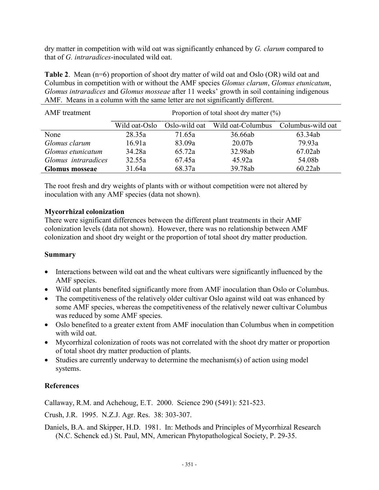dry matter in competition with wild oat was significantly enhanced by *G. clarum* compared to that of *G. intraradices*-inoculated wild oat.

**Table 2**. Mean (n=6) proportion of shoot dry matter of wild oat and Oslo (OR) wild oat and Columbus in competition with or without the AMF species *Glomus clarum*, *Glomus etunicatum*, *Glomus intraradices* and *Glomus mosseae* after 11 weeks' growth in soil containing indigenous AMF. Means in a column with the same letter are not significantly different.

| AMF treatment         | Proportion of total shoot dry matter $(\%)$ |        |                                                   |         |  |  |
|-----------------------|---------------------------------------------|--------|---------------------------------------------------|---------|--|--|
|                       | Wild oat-Oslo                               |        | Oslo-wild oat Wild oat-Columbus Columbus-wild oat |         |  |  |
| None                  | 28.35a                                      | 71 65a | 36.66ab                                           | 63.34ab |  |  |
| Glomus clarum         | 16.91a                                      | 83.09a | 20.07b                                            | 79.93a  |  |  |
| Glomus etunicatum     | 34.28a                                      | 65.72a | 32.98ab                                           | 67.02ab |  |  |
| Glomus intraradices   | 32.55a                                      | 67.45a | 45.92a                                            | 54.08b  |  |  |
| <b>Glomus mosseae</b> | 31.64a                                      | 68.37a | 39.78ab                                           | 60.22ab |  |  |

The root fresh and dry weights of plants with or without competition were not altered by inoculation with any AMF species (data not shown).

#### **Mycorrhizal colonization**

There were significant differences between the different plant treatments in their AMF colonization levels (data not shown). However, there was no relationship between AMF colonization and shoot dry weight or the proportion of total shoot dry matter production.

#### **Summary**

- Interactions between wild oat and the wheat cultivars were significantly influenced by the AMF species.
- Wild oat plants benefited significantly more from AMF inoculation than Oslo or Columbus.
- The competitiveness of the relatively older cultivar Oslo against wild oat was enhanced by some AMF species, whereas the competitiveness of the relatively newer cultivar Columbus was reduced by some AMF species.
- Oslo benefited to a greater extent from AMF inoculation than Columbus when in competition with wild oat.
- Mycorrhizal colonization of roots was not correlated with the shoot dry matter or proportion of total shoot dry matter production of plants.
- Studies are currently underway to determine the mechanism(s) of action using model systems.

#### **References**

Callaway, R.M. and Achehoug, E.T. 2000. Science 290 (5491): 521-523.

Crush, J.R. 1995. N.Z.J. Agr. Res. 38: 303-307.

Daniels, B.A. and Skipper, H.D. 1981. In: Methods and Principles of Mycorrhizal Research (N.C. Schenck ed.) St. Paul, MN, American Phytopathological Society, P. 29-35.